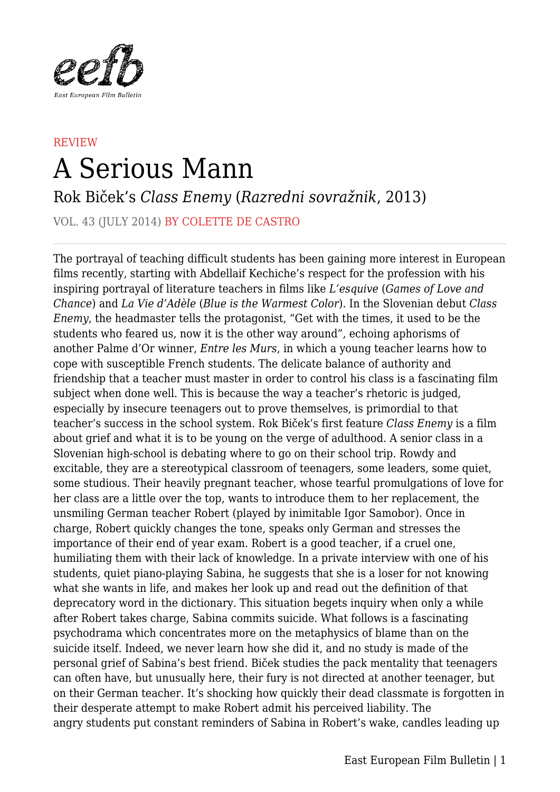

## **REVIEW** A Serious Mann

Rok Biček's *Class Enemy* (*Razredni sovražnik*, 2013)

VOL. 43 (JULY 2014) BY COLETTE DE CASTRO

The portrayal of teaching difficult students has been gaining more interest in European films recently, starting with Abdellaif Kechiche's respect for the profession with his inspiring portrayal of literature teachers in films like *L'esquive* (*Games of Love and Chance*) and *La Vie d'Adèle* (*Blue is the Warmest Color*). In the Slovenian debut *Class Enemy*, the headmaster tells the protagonist, "Get with the times, it used to be the students who feared us, now it is the other way around", echoing aphorisms of another Palme d'Or winner, *Entre les Murs*, in which a young teacher learns how to cope with susceptible French students. The delicate balance of authority and friendship that a teacher must master in order to control his class is a fascinating film subject when done well. This is because the way a teacher's rhetoric is judged, especially by insecure teenagers out to prove themselves, is primordial to that teacher's success in the school system. Rok Biček's first feature *Class Enemy* is a film about grief and what it is to be young on the verge of adulthood. A senior class in a Slovenian high-school is debating where to go on their school trip. Rowdy and excitable, they are a stereotypical classroom of teenagers, some leaders, some quiet, some studious. Their heavily pregnant teacher, whose tearful promulgations of love for her class are a little over the top, wants to introduce them to her replacement, the unsmiling German teacher Robert (played by inimitable Igor Samobor). Once in charge, Robert quickly changes the tone, speaks only German and stresses the importance of their end of year exam. Robert is a good teacher, if a cruel one, humiliating them with their lack of knowledge. In a private interview with one of his students, quiet piano-playing Sabina, he suggests that she is a loser for not knowing what she wants in life, and makes her look up and read out the definition of that deprecatory word in the dictionary. This situation begets inquiry when only a while after Robert takes charge, Sabina commits suicide. What follows is a fascinating psychodrama which concentrates more on the metaphysics of blame than on the suicide itself. Indeed, we never learn how she did it, and no study is made of the personal grief of Sabina's best friend. Biček studies the pack mentality that teenagers can often have, but unusually here, their fury is not directed at another teenager, but on their German teacher. It's shocking how quickly their dead classmate is forgotten in their desperate attempt to make Robert admit his perceived liability. The angry students put constant reminders of Sabina in Robert's wake, candles leading up